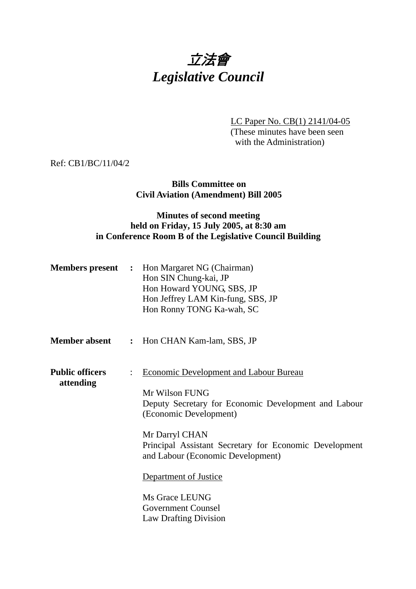# 立法會 *Legislative Council*

LC Paper No. CB(1) 2141/04-05 (These minutes have been seen with the Administration)

Ref: CB1/BC/11/04/2

## **Bills Committee on Civil Aviation (Amendment) Bill 2005**

## **Minutes of second meeting held on Friday, 15 July 2005, at 8:30 am in Conference Room B of the Legislative Council Building**

|                                     | <b>Members present</b> : Hon Margaret NG (Chairman)<br>Hon SIN Chung-kai, JP<br>Hon Howard YOUNG, SBS, JP<br>Hon Jeffrey LAM Kin-fung, SBS, JP<br>Hon Ronny TONG Ka-wah, SC                                                                                                                                                                                                |
|-------------------------------------|----------------------------------------------------------------------------------------------------------------------------------------------------------------------------------------------------------------------------------------------------------------------------------------------------------------------------------------------------------------------------|
| <b>Member absent</b>                | : Hon CHAN Kam-lam, SBS, JP                                                                                                                                                                                                                                                                                                                                                |
| <b>Public officers</b><br>attending | <b>Economic Development and Labour Bureau</b><br>Mr Wilson FUNG<br>Deputy Secretary for Economic Development and Labour<br>(Economic Development)<br>Mr Darryl CHAN<br>Principal Assistant Secretary for Economic Development<br>and Labour (Economic Development)<br>Department of Justice<br>Ms Grace LEUNG<br><b>Government Counsel</b><br><b>Law Drafting Division</b> |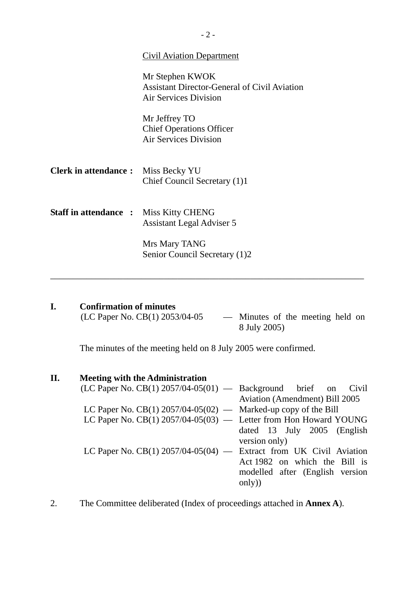|                                               | Mr Stephen KWOK<br><b>Assistant Director-General of Civil Aviation</b><br><b>Air Services Division</b> |
|-----------------------------------------------|--------------------------------------------------------------------------------------------------------|
|                                               | Mr Jeffrey TO<br><b>Chief Operations Officer</b><br><b>Air Services Division</b>                       |
| <b>Clerk in attendance :</b> Miss Becky YU    | Chief Council Secretary (1)1                                                                           |
| <b>Staff in attendance : Miss Kitty CHENG</b> | <b>Assistant Legal Adviser 5</b>                                                                       |
|                                               | Mrs Mary TANG<br>Senior Council Secretary (1)2                                                         |

## **I. Confirmation of minutes**

 $(LC$  Paper No.  $CB(1)$  2053/04-05 — Minutes of the meeting held on 8 July 2005)

The minutes of the meeting held on 8 July 2005 were confirmed.

\_\_\_\_\_\_\_\_\_\_\_\_\_\_\_\_\_\_\_\_\_\_\_\_\_\_\_\_\_\_\_\_\_\_\_\_\_\_\_\_\_\_\_\_\_\_\_\_\_\_\_\_\_\_\_\_\_\_\_\_\_\_\_\_\_\_\_\_\_

## **II. Meeting with the Administration**

| $(LC$ Paper No. $CB(1)$ 2057/04-05 $(01)$ — Background brief on Civil |                                |  |  |                                 |
|-----------------------------------------------------------------------|--------------------------------|--|--|---------------------------------|
|                                                                       | Aviation (Amendment) Bill 2005 |  |  |                                 |
| LC Paper No. CB(1) $2057/04-05(02)$ — Marked-up copy of the Bill      |                                |  |  |                                 |
| LC Paper No. $CB(1)$ 2057/04-05(03) — Letter from Hon Howard YOUNG    |                                |  |  |                                 |
|                                                                       |                                |  |  | dated 13 July 2005 (English     |
|                                                                       | version only)                  |  |  |                                 |
| LC Paper No. CB(1) $2057/04-05(04)$ — Extract from UK Civil Aviation  |                                |  |  |                                 |
|                                                                       |                                |  |  | Act 1982 on which the Bill is   |
|                                                                       |                                |  |  | modelled after (English version |
|                                                                       | only)                          |  |  |                                 |
|                                                                       |                                |  |  |                                 |

2. The Committee deliberated (Index of proceedings attached in **Annex A**).

Civil Aviation Department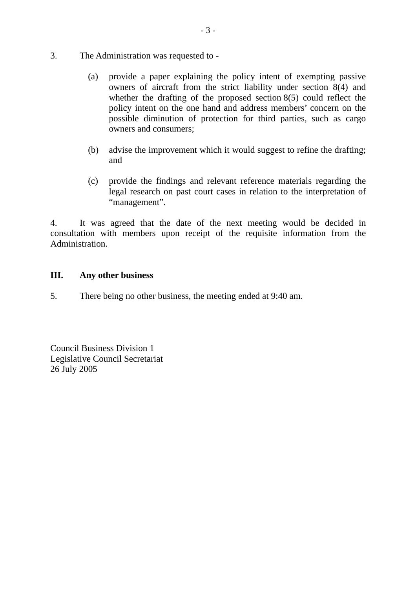- 3. The Administration was requested to
	- (a) provide a paper explaining the policy intent of exempting passive owners of aircraft from the strict liability under section 8(4) and whether the drafting of the proposed section 8(5) could reflect the policy intent on the one hand and address members' concern on the possible diminution of protection for third parties, such as cargo owners and consumers;
	- (b) advise the improvement which it would suggest to refine the drafting; and
	- (c) provide the findings and relevant reference materials regarding the legal research on past court cases in relation to the interpretation of "management".

4. It was agreed that the date of the next meeting would be decided in consultation with members upon receipt of the requisite information from the Administration.

#### **III. Any other business**

5. There being no other business, the meeting ended at 9:40 am.

Council Business Division 1 Legislative Council Secretariat 26 July 2005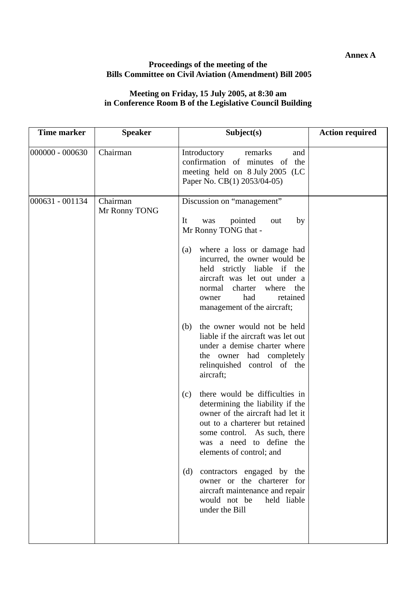#### **Annex A**

#### **Proceedings of the meeting of the Bills Committee on Civil Aviation (Amendment) Bill 2005**

#### **Meeting on Friday, 15 July 2005, at 8:30 am in Conference Room B of the Legislative Council Building**

| <b>Time marker</b> | <b>Speaker</b>            | Subject(s)                                                                                                                                                                                                                                                                                                                                                                                                                                                                                                                                                                                                                                                                                                                                                                                                                                                                                                      | <b>Action required</b> |
|--------------------|---------------------------|-----------------------------------------------------------------------------------------------------------------------------------------------------------------------------------------------------------------------------------------------------------------------------------------------------------------------------------------------------------------------------------------------------------------------------------------------------------------------------------------------------------------------------------------------------------------------------------------------------------------------------------------------------------------------------------------------------------------------------------------------------------------------------------------------------------------------------------------------------------------------------------------------------------------|------------------------|
| 000000 - 000630    | Chairman                  | Introductory<br>remarks<br>and<br>confirmation of minutes of the<br>meeting held on 8 July 2005 (LC<br>Paper No. CB(1) 2053/04-05)                                                                                                                                                                                                                                                                                                                                                                                                                                                                                                                                                                                                                                                                                                                                                                              |                        |
| 000631 - 001134    | Chairman<br>Mr Ronny TONG | Discussion on "management"<br>It<br>pointed<br>was<br>by<br>out<br>Mr Ronny TONG that -<br>where a loss or damage had<br>(a)<br>incurred, the owner would be<br>held strictly liable if the<br>aircraft was let out under a<br>where the<br>normal<br>charter<br>had<br>retained<br>owner<br>management of the aircraft;<br>the owner would not be held<br>(b)<br>liable if the aircraft was let out<br>under a demise charter where<br>the owner had completely<br>relinquished control of the<br>aircraft;<br>there would be difficulties in<br>(c)<br>determining the liability if the<br>owner of the aircraft had let it<br>out to a charterer but retained<br>some control. As such, there<br>was a need to define the<br>elements of control; and<br>contractors engaged by the<br>(d)<br>owner or the charterer for<br>aircraft maintenance and repair<br>would not be<br>held liable<br>under the Bill |                        |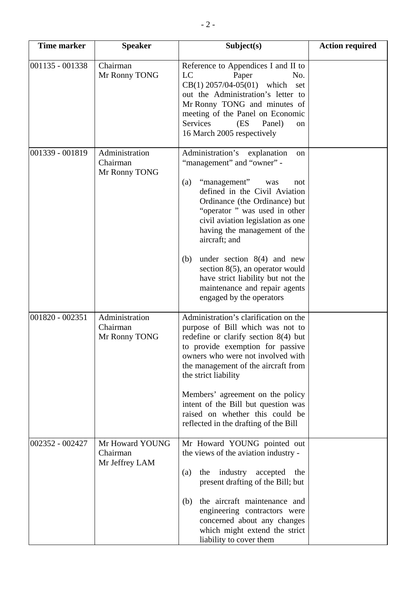| <b>Time marker</b> | <b>Speaker</b>                                | Subject(s)                                                                                                                                                                                                                                                                                                                                                                                                                                                                      | <b>Action required</b> |
|--------------------|-----------------------------------------------|---------------------------------------------------------------------------------------------------------------------------------------------------------------------------------------------------------------------------------------------------------------------------------------------------------------------------------------------------------------------------------------------------------------------------------------------------------------------------------|------------------------|
| $ 001135 - 001338$ | Chairman<br>Mr Ronny TONG                     | Reference to Appendices I and II to<br>LC<br>Paper<br>No.<br>$CB(1)$ 2057/04-05(01) which<br>set<br>out the Administration's letter to<br>Mr Ronny TONG and minutes of<br>meeting of the Panel on Economic<br><b>Services</b><br>(ES<br>Panel)<br>on<br>16 March 2005 respectively                                                                                                                                                                                              |                        |
| 001339 - 001819    | Administration<br>Chairman<br>Mr Ronny TONG   | Administration's<br>explanation<br>on<br>"management" and "owner" -<br>"management"<br>(a)<br>was<br>not<br>defined in the Civil Aviation<br>Ordinance (the Ordinance) but<br>"operator" was used in other<br>civil aviation legislation as one<br>having the management of the<br>aircraft; and<br>under section $8(4)$ and new<br>(b)<br>section $8(5)$ , an operator would<br>have strict liability but not the<br>maintenance and repair agents<br>engaged by the operators |                        |
| 001820 - 002351    | Administration<br>Chairman<br>Mr Ronny TONG   | Administration's clarification on the<br>purpose of Bill which was not to<br>redefine or clarify section $8(4)$ but<br>to provide exemption for passive<br>owners who were not involved with<br>the management of the aircraft from<br>the strict liability<br>Members' agreement on the policy<br>intent of the Bill but question was<br>raised on whether this could be<br>reflected in the drafting of the Bill                                                              |                        |
| 002352 - 002427    | Mr Howard YOUNG<br>Chairman<br>Mr Jeffrey LAM | Mr Howard YOUNG pointed out<br>the views of the aviation industry -<br>industry<br>accepted<br>(a)<br>the<br>the<br>present drafting of the Bill; but<br>the aircraft maintenance and<br>(b)<br>engineering contractors were<br>concerned about any changes<br>which might extend the strict<br>liability to cover them                                                                                                                                                         |                        |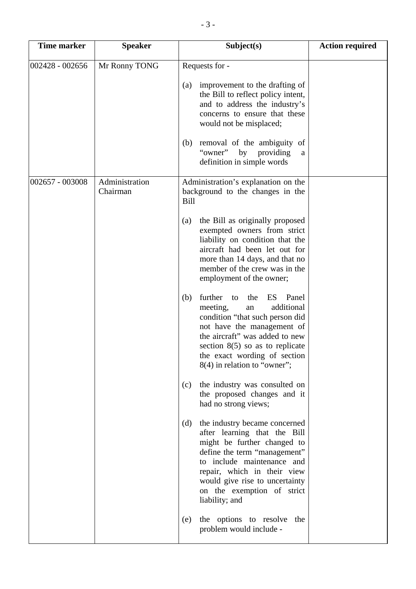| <b>Time marker</b>  | <b>Speaker</b>             | Subject(s)                                                                                                                                                                                                                                                                                                                                                                                                                                                                                                                                                                                                                                                                                                                                                                                                                                                                                                                                                                                                                                                             | <b>Action required</b> |
|---------------------|----------------------------|------------------------------------------------------------------------------------------------------------------------------------------------------------------------------------------------------------------------------------------------------------------------------------------------------------------------------------------------------------------------------------------------------------------------------------------------------------------------------------------------------------------------------------------------------------------------------------------------------------------------------------------------------------------------------------------------------------------------------------------------------------------------------------------------------------------------------------------------------------------------------------------------------------------------------------------------------------------------------------------------------------------------------------------------------------------------|------------------------|
| $ 002428 - 002656 $ | Mr Ronny TONG              | Requests for -<br>improvement to the drafting of<br>(a)<br>the Bill to reflect policy intent,<br>and to address the industry's<br>concerns to ensure that these<br>would not be misplaced;<br>removal of the ambiguity of<br>(b)<br>"owner"<br>by<br>providing<br>a<br>definition in simple words                                                                                                                                                                                                                                                                                                                                                                                                                                                                                                                                                                                                                                                                                                                                                                      |                        |
| 002657 - 003008     | Administration<br>Chairman | Administration's explanation on the<br>background to the changes in the<br>Bill<br>the Bill as originally proposed<br>(a)<br>exempted owners from strict<br>liability on condition that the<br>aircraft had been let out for<br>more than 14 days, and that no<br>member of the crew was in the<br>employment of the owner;<br>further<br>ES<br>Panel<br>to<br>the<br>(b)<br>additional<br>meeting,<br>an<br>condition "that such person did<br>not have the management of<br>the aircraft" was added to new<br>section $8(5)$ so as to replicate<br>the exact wording of section<br>8(4) in relation to "owner";<br>the industry was consulted on<br>(c)<br>the proposed changes and it<br>had no strong views;<br>the industry became concerned<br>(d)<br>after learning that the Bill<br>might be further changed to<br>define the term "management"<br>to include maintenance and<br>repair, which in their view<br>would give rise to uncertainty<br>on the exemption of strict<br>liability; and<br>the options to resolve the<br>(e)<br>problem would include - |                        |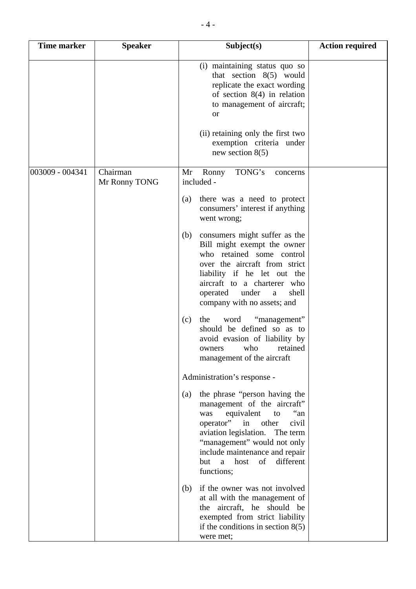| <b>Time marker</b> | <b>Speaker</b>            | Subject(s)                                                                                                                                                                                                                                                                                      | <b>Action required</b> |
|--------------------|---------------------------|-------------------------------------------------------------------------------------------------------------------------------------------------------------------------------------------------------------------------------------------------------------------------------------------------|------------------------|
|                    |                           | (i) maintaining status quo so<br>that section $8(5)$ would<br>replicate the exact wording<br>of section $8(4)$ in relation<br>to management of aircraft;<br><b>or</b>                                                                                                                           |                        |
|                    |                           | (ii) retaining only the first two<br>exemption criteria under<br>new section $8(5)$                                                                                                                                                                                                             |                        |
| 003009 - 004341    | Chairman<br>Mr Ronny TONG | TONG's<br>Ronny<br>Mr<br>concerns<br>included -                                                                                                                                                                                                                                                 |                        |
|                    |                           | there was a need to protect<br>(a)<br>consumers' interest if anything<br>went wrong;                                                                                                                                                                                                            |                        |
|                    |                           | consumers might suffer as the<br>(b)<br>Bill might exempt the owner<br>who retained some control<br>over the aircraft from strict<br>liability if he let out the<br>aircraft to a charterer who<br>operated under<br>shell<br>a a<br>company with no assets; and                                |                        |
|                    |                           | word "management"<br>(c)<br>the<br>should be defined so as to<br>avoid evasion of liability by<br>who<br>retained<br>owners<br>management of the aircraft                                                                                                                                       |                        |
|                    |                           | Administration's response -                                                                                                                                                                                                                                                                     |                        |
|                    |                           | the phrase "person having the<br>(a)<br>management of the aircraft"<br>equivalent<br>to<br>"an<br>was<br>operator" in<br>other<br>civil<br>aviation legislation. The term<br>"management" would not only<br>include maintenance and repair<br>different<br>host<br>of<br>but<br>a<br>functions; |                        |
|                    |                           | if the owner was not involved<br>(b)<br>at all with the management of<br>the aircraft, he should be<br>exempted from strict liability<br>if the conditions in section $8(5)$<br>were met;                                                                                                       |                        |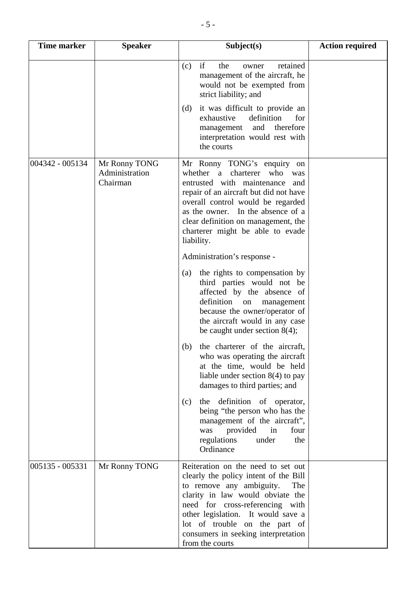| <b>Time marker</b> | <b>Speaker</b>                              | Subject(s)                                                                                                                                                                                                                                                                                                             | <b>Action required</b> |
|--------------------|---------------------------------------------|------------------------------------------------------------------------------------------------------------------------------------------------------------------------------------------------------------------------------------------------------------------------------------------------------------------------|------------------------|
|                    |                                             | if<br>retained<br>(c)<br>the<br>owner<br>management of the aircraft, he<br>would not be exempted from<br>strict liability; and<br>it was difficult to provide an<br>(d)<br>exhaustive<br>definition<br>for<br>therefore<br>and<br>management<br>interpretation would rest with<br>the courts                           |                        |
| 004342 - 005134    | Mr Ronny TONG<br>Administration<br>Chairman | Mr Ronny TONG's enquiry on<br>whether a<br>charterer<br>who<br>was<br>entrusted with maintenance<br>and<br>repair of an aircraft but did not have<br>overall control would be regarded<br>as the owner. In the absence of a<br>clear definition on management, the<br>charterer might be able to evade<br>liability.   |                        |
|                    |                                             | Administration's response -                                                                                                                                                                                                                                                                                            |                        |
|                    |                                             | the rights to compensation by<br>(a)<br>third parties would not be<br>affected by the absence of<br>definition<br>on<br>management<br>because the owner/operator of<br>the aircraft would in any case<br>be caught under section $8(4)$ ;                                                                              |                        |
|                    |                                             | the charterer of the aircraft,<br>(b)<br>who was operating the aircraft<br>at the time, would be held<br>liable under section $8(4)$ to pay<br>damages to third parties; and                                                                                                                                           |                        |
|                    |                                             | the definition of operator,<br>(c)<br>being "the person who has the<br>management of the aircraft",<br>provided<br>in<br>four<br>was<br>regulations<br>under<br>the<br>Ordinance                                                                                                                                       |                        |
| 005135 - 005331    | Mr Ronny TONG                               | Reiteration on the need to set out<br>clearly the policy intent of the Bill<br>to remove any ambiguity.<br>The<br>clarity in law would obviate the<br>need for cross-referencing with<br>other legislation. It would save a<br>lot of trouble on the part of<br>consumers in seeking interpretation<br>from the courts |                        |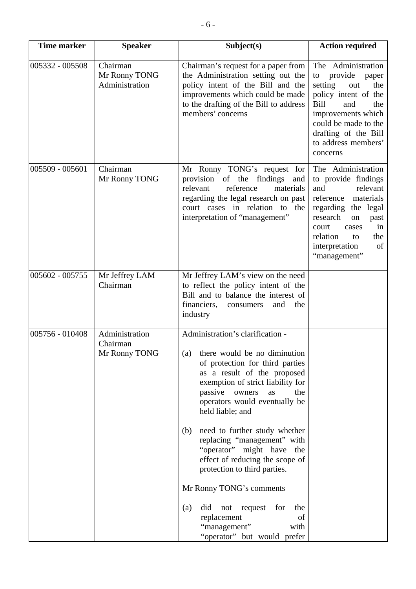| <b>Time marker</b> | <b>Speaker</b>                              | Subject(s)                                                                                                                                                                                                                                                                                                                                                                                                                                                                                                                                                                                   | <b>Action required</b>                                                                                                                                                                                                           |
|--------------------|---------------------------------------------|----------------------------------------------------------------------------------------------------------------------------------------------------------------------------------------------------------------------------------------------------------------------------------------------------------------------------------------------------------------------------------------------------------------------------------------------------------------------------------------------------------------------------------------------------------------------------------------------|----------------------------------------------------------------------------------------------------------------------------------------------------------------------------------------------------------------------------------|
| 005332 - 005508    | Chairman<br>Mr Ronny TONG<br>Administration | Chairman's request for a paper from<br>the Administration setting out the<br>policy intent of the Bill and the<br>improvements which could be made<br>to the drafting of the Bill to address<br>members' concerns                                                                                                                                                                                                                                                                                                                                                                            | The Administration<br>provide<br>to<br>paper<br>setting<br>out<br>the<br>policy intent of the<br>Bill<br>and<br>the<br>improvements which<br>could be made to the<br>drafting of the Bill<br>to address members'<br>concerns     |
| 005509 - 005601    | Chairman<br>Mr Ronny TONG                   | Mr Ronny TONG's request for<br>provision of the findings<br>and<br>reference<br>relevant<br>materials<br>regarding the legal research on past<br>court cases in relation to the<br>interpretation of "management"                                                                                                                                                                                                                                                                                                                                                                            | The Administration<br>to provide findings<br>and<br>relevant<br>reference<br>materials<br>regarding the legal<br>research<br>past<br>on<br>court<br>cases<br>in<br>relation<br>the<br>to<br>interpretation<br>of<br>"management" |
| 005602 - 005755    | Mr Jeffrey LAM<br>Chairman                  | Mr Jeffrey LAM's view on the need<br>to reflect the policy intent of the<br>Bill and to balance the interest of<br>financiers,<br>and<br>the<br>consumers<br>industry                                                                                                                                                                                                                                                                                                                                                                                                                        |                                                                                                                                                                                                                                  |
| 005756 - 010408    | Administration<br>Chairman<br>Mr Ronny TONG | Administration's clarification -<br>there would be no diminution<br>(a)<br>of protection for third parties<br>as a result of the proposed<br>exemption of strict liability for<br>passive<br>owners<br>as<br>the<br>operators would eventually be<br>held liable; and<br>need to further study whether<br>(b)<br>replacing "management" with<br>"operator" might have the<br>effect of reducing the scope of<br>protection to third parties.<br>Mr Ronny TONG's comments<br>did not request<br>for<br>the<br>(a)<br>replacement<br>of<br>"management"<br>with<br>"operator" but would prefer |                                                                                                                                                                                                                                  |